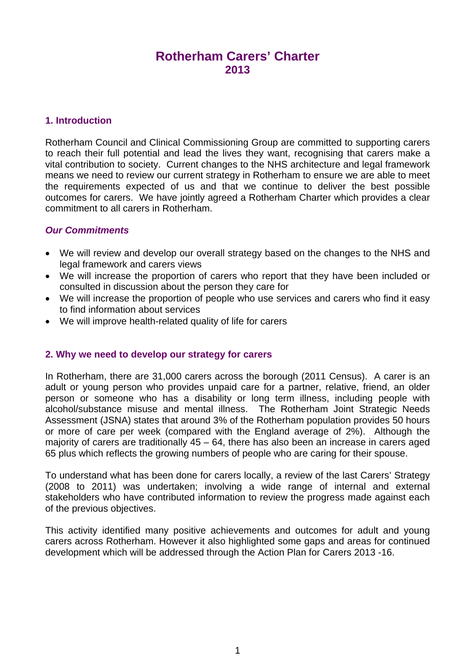# **Rotherham Carers' Charter 2013**

## **1. Introduction**

Rotherham Council and Clinical Commissioning Group are committed to supporting carers to reach their full potential and lead the lives they want, recognising that carers make a vital contribution to society. Current changes to the NHS architecture and legal framework means we need to review our current strategy in Rotherham to ensure we are able to meet the requirements expected of us and that we continue to deliver the best possible outcomes for carers. We have jointly agreed a Rotherham Charter which provides a clear commitment to all carers in Rotherham.

## *Our Commitments*

- We will review and develop our overall strategy based on the changes to the NHS and legal framework and carers views
- We will increase the proportion of carers who report that they have been included or consulted in discussion about the person they care for
- We will increase the proportion of people who use services and carers who find it easy to find information about services
- We will improve health-related quality of life for carers

### **2. Why we need to develop our strategy for carers**

In Rotherham, there are 31,000 carers across the borough (2011 Census). A carer is an adult or young person who provides unpaid care for a partner, relative, friend, an older person or someone who has a disability or long term illness, including people with alcohol/substance misuse and mental illness. The Rotherham Joint Strategic Needs Assessment (JSNA) states that around 3% of the Rotherham population provides 50 hours or more of care per week (compared with the England average of 2%). Although the majority of carers are traditionally 45 – 64, there has also been an increase in carers aged 65 plus which reflects the growing numbers of people who are caring for their spouse.

To understand what has been done for carers locally, a review of the last Carers' Strategy (2008 to 2011) was undertaken; involving a wide range of internal and external stakeholders who have contributed information to review the progress made against each of the previous objectives.

This activity identified many positive achievements and outcomes for adult and young carers across Rotherham. However it also highlighted some gaps and areas for continued development which will be addressed through the Action Plan for Carers 2013 -16.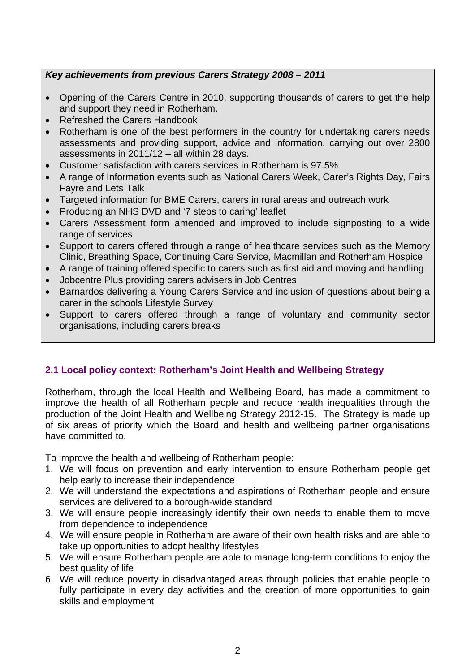# *Key achievements from previous Carers Strategy 2008 – 2011*

- Opening of the Carers Centre in 2010, supporting thousands of carers to get the help and support they need in Rotherham.
- Refreshed the Carers Handbook
- Rotherham is one of the best performers in the country for undertaking carers needs assessments and providing support, advice and information, carrying out over 2800 assessments in 2011/12 – all within 28 days.
- Customer satisfaction with carers services in Rotherham is 97.5%
- A range of Information events such as National Carers Week, Carer's Rights Day, Fairs Fayre and Lets Talk
- Targeted information for BME Carers, carers in rural areas and outreach work
- Producing an NHS DVD and '7 steps to caring' leaflet
- Carers Assessment form amended and improved to include signposting to a wide range of services
- Support to carers offered through a range of healthcare services such as the Memory Clinic, Breathing Space, Continuing Care Service, Macmillan and Rotherham Hospice
- A range of training offered specific to carers such as first aid and moving and handling
- Jobcentre Plus providing carers advisers in Job Centres
- Barnardos delivering a Young Carers Service and inclusion of questions about being a carer in the schools Lifestyle Survey
- Support to carers offered through a range of voluntary and community sector organisations, including carers breaks

# **2.1 Local policy context: Rotherham's Joint Health and Wellbeing Strategy**

Rotherham, through the local Health and Wellbeing Board, has made a commitment to improve the health of all Rotherham people and reduce health inequalities through the production of the Joint Health and Wellbeing Strategy 2012-15. The Strategy is made up of six areas of priority which the Board and health and wellbeing partner organisations have committed to.

To improve the health and wellbeing of Rotherham people:

- 1. We will focus on prevention and early intervention to ensure Rotherham people get help early to increase their independence
- 2. We will understand the expectations and aspirations of Rotherham people and ensure services are delivered to a borough-wide standard
- 3. We will ensure people increasingly identify their own needs to enable them to move from dependence to independence
- 4. We will ensure people in Rotherham are aware of their own health risks and are able to take up opportunities to adopt healthy lifestyles
- 5. We will ensure Rotherham people are able to manage long-term conditions to enjoy the best quality of life
- 6. We will reduce poverty in disadvantaged areas through policies that enable people to fully participate in every day activities and the creation of more opportunities to gain skills and employment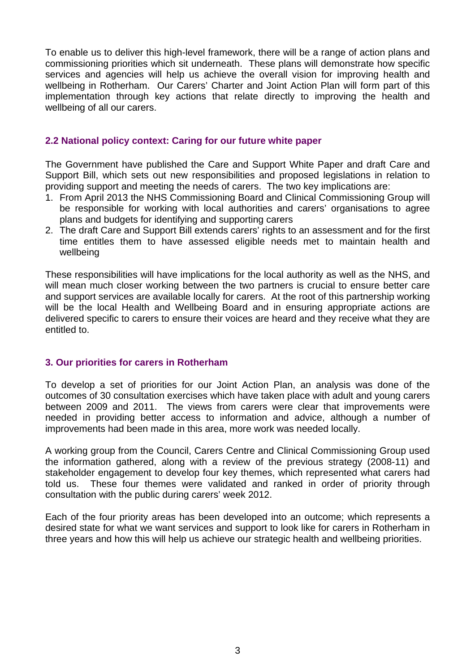To enable us to deliver this high-level framework, there will be a range of action plans and commissioning priorities which sit underneath. These plans will demonstrate how specific services and agencies will help us achieve the overall vision for improving health and wellbeing in Rotherham. Our Carers' Charter and Joint Action Plan will form part of this implementation through key actions that relate directly to improving the health and wellbeing of all our carers.

#### **2.2 National policy context: Caring for our future white paper**

The Government have published the Care and Support White Paper and draft Care and Support Bill, which sets out new responsibilities and proposed legislations in relation to providing support and meeting the needs of carers. The two key implications are:

- 1. From April 2013 the NHS Commissioning Board and Clinical Commissioning Group will be responsible for working with local authorities and carers' organisations to agree plans and budgets for identifying and supporting carers
- 2. The draft Care and Support Bill extends carers' rights to an assessment and for the first time entitles them to have assessed eligible needs met to maintain health and wellbeing

These responsibilities will have implications for the local authority as well as the NHS, and will mean much closer working between the two partners is crucial to ensure better care and support services are available locally for carers. At the root of this partnership working will be the local Health and Wellbeing Board and in ensuring appropriate actions are delivered specific to carers to ensure their voices are heard and they receive what they are entitled to.

### **3. Our priorities for carers in Rotherham**

To develop a set of priorities for our Joint Action Plan, an analysis was done of the outcomes of 30 consultation exercises which have taken place with adult and young carers between 2009 and 2011. The views from carers were clear that improvements were needed in providing better access to information and advice, although a number of improvements had been made in this area, more work was needed locally.

A working group from the Council, Carers Centre and Clinical Commissioning Group used the information gathered, along with a review of the previous strategy (2008-11) and stakeholder engagement to develop four key themes, which represented what carers had told us. These four themes were validated and ranked in order of priority through consultation with the public during carers' week 2012.

Each of the four priority areas has been developed into an outcome; which represents a desired state for what we want services and support to look like for carers in Rotherham in three years and how this will help us achieve our strategic health and wellbeing priorities.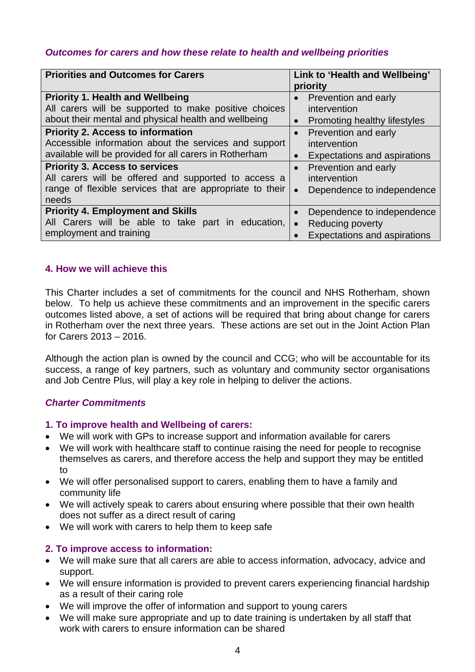# *Outcomes for carers and how these relate to health and wellbeing priorities*

| <b>Priorities and Outcomes for Carers</b>                                                                                                                                                                                                                                                                               | Link to 'Health and Wellbeing'<br>priority                                                                                                                                                              |
|-------------------------------------------------------------------------------------------------------------------------------------------------------------------------------------------------------------------------------------------------------------------------------------------------------------------------|---------------------------------------------------------------------------------------------------------------------------------------------------------------------------------------------------------|
| <b>Priority 1. Health and Wellbeing</b><br>All carers will be supported to make positive choices<br>about their mental and physical health and wellbeing<br><b>Priority 2. Access to information</b><br>Accessible information about the services and support<br>available will be provided for all carers in Rotherham | Prevention and early<br>$\bullet$<br>intervention<br>Promoting healthy lifestyles<br>$\bullet$<br>Prevention and early<br>$\bullet$<br>intervention<br><b>Expectations and aspirations</b><br>$\bullet$ |
| <b>Priority 3. Access to services</b><br>All carers will be offered and supported to access a<br>range of flexible services that are appropriate to their<br>needs                                                                                                                                                      | Prevention and early<br>$\bullet$<br>intervention<br>Dependence to independence<br>$\bullet$                                                                                                            |
| <b>Priority 4. Employment and Skills</b><br>All Carers will be able to take part in education,<br>employment and training                                                                                                                                                                                               | Dependence to independence<br>$\bullet$<br><b>Reducing poverty</b><br>$\bullet$<br><b>Expectations and aspirations</b>                                                                                  |

## **4. How we will achieve this**

This Charter includes a set of commitments for the council and NHS Rotherham, shown below. To help us achieve these commitments and an improvement in the specific carers outcomes listed above, a set of actions will be required that bring about change for carers in Rotherham over the next three years. These actions are set out in the Joint Action Plan for Carers 2013 – 2016.

Although the action plan is owned by the council and CCG; who will be accountable for its success, a range of key partners, such as voluntary and community sector organisations and Job Centre Plus, will play a key role in helping to deliver the actions.

# *Charter Commitments*

### **1. To improve health and Wellbeing of carers:**

- We will work with GPs to increase support and information available for carers
- We will work with healthcare staff to continue raising the need for people to recognise themselves as carers, and therefore access the help and support they may be entitled to
- We will offer personalised support to carers, enabling them to have a family and community life
- We will actively speak to carers about ensuring where possible that their own health does not suffer as a direct result of caring
- We will work with carers to help them to keep safe

# **2. To improve access to information:**

- We will make sure that all carers are able to access information, advocacy, advice and support.
- We will ensure information is provided to prevent carers experiencing financial hardship as a result of their caring role
- We will improve the offer of information and support to young carers
- We will make sure appropriate and up to date training is undertaken by all staff that work with carers to ensure information can be shared